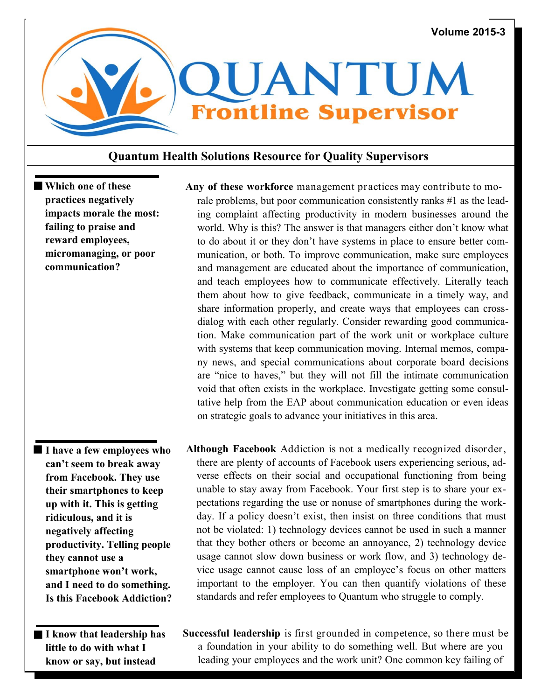

## **Quantum Health Solutions Resource for Quality Supervisors**

**Which one of these practices negatively impacts morale the most: failing to praise and reward employees, micromanaging, or poor communication?**

- **I have a few employees who can't seem to break away from Facebook. They use their smartphones to keep up with it. This is getting ridiculous, and it is negatively affecting productivity. Telling people they cannot use a smartphone won't work, and I need to do something. Is this Facebook Addiction?**
	- **little to do with what I know or say, but instead**

 **Any of these workforce** management practices may contribute to morale problems, but poor communication consistently ranks #1 as the leading complaint affecting productivity in modern businesses around the world. Why is this? The answer is that managers either don't know what to do about it or they don't have systems in place to ensure better communication, or both. To improve communication, make sure employees and management are educated about the importance of communication, and teach employees how to communicate effectively. Literally teach them about how to give feedback, communicate in a timely way, and share information properly, and create ways that employees can crossdialog with each other regularly. Consider rewarding good communication. Make communication part of the work unit or workplace culture with systems that keep communication moving. Internal memos, company news, and special communications about corporate board decisions are "nice to haves," but they will not fill the intimate communication void that often exists in the workplace. Investigate getting some consultative help from the EAP about communication education or even ideas on strategic goals to advance your initiatives in this area.

- **Although Facebook** Addiction is not a medically recognized disorder, there are plenty of accounts of Facebook users experiencing serious, adverse effects on their social and occupational functioning from being unable to stay away from Facebook. Your first step is to share your expectations regarding the use or nonuse of smartphones during the workday. If a policy doesn't exist, then insist on three conditions that must not be violated: 1) technology devices cannot be used in such a manner that they bother others or become an annoyance, 2) technology device usage cannot slow down business or work flow, and 3) technology device usage cannot cause loss of an employee's focus on other matters important to the employer. You can then quantify violations of these standards and refer employees to Quantum who struggle to comply.
- I know that leadership has Successful leadership is first grounded in competence, so there must be a foundation in your ability to do something well. But where are you leading your employees and the work unit? One common key failing of